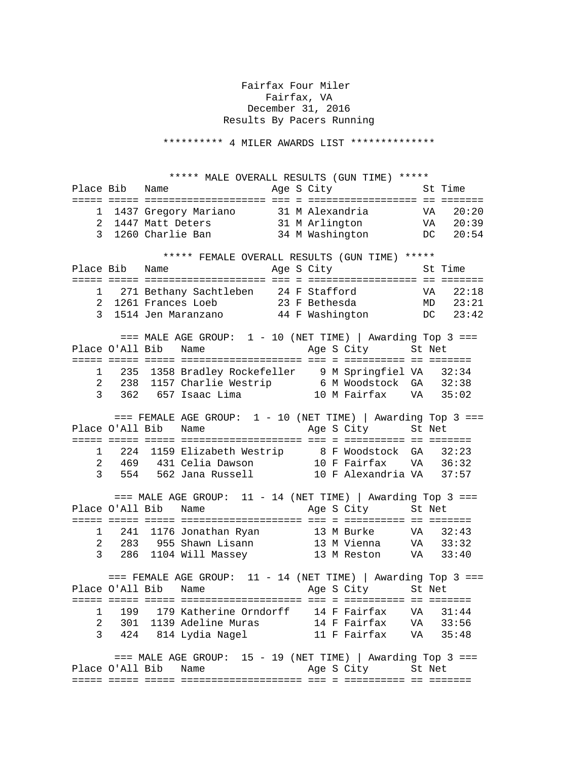## Fairfax Four Miler Fairfax, VA December 31, 2016 Results By Pacers Running

\*\*\*\*\*\*\*\*\*\* 4 MILER AWARDS LIST \*\*\*\*\*\*\*\*\*\*\*\*\*\*

 \*\*\*\*\* MALE OVERALL RESULTS (GUN TIME) \*\*\*\*\* Place Bib Name Age S City St Time ===== ===== ==================== === = ================== == ======= 1 1437 Gregory Mariano 31 M Alexandria VA 20:20 2 1447 Matt Deters 31 M Arlington VA 20:39 3 1260 Charlie Ban 34 M Washington DC 20:54 \*\*\*\*\* FEMALE OVERALL RESULTS (GUN TIME) \*\*\*\*\* Place Bib Name Age S City St Time ===== ===== ==================== === = ================== == ======= 1 271 Bethany Sachtleben 24 F Stafford VA 22:18 2 1261 Frances Loeb 23 F Bethesda MD 23:21 3 1514 Jen Maranzano 44 F Washington DC 23:42  $==$  MALE AGE GROUP:  $1 - 10$  (NET TIME) | Awarding Top 3 === Place O'All Bib Name Age S City St Net ===== ===== ===== ==================== === = ========== == ======= 1 235 1358 Bradley Rockefeller 9 M Springfiel VA 32:34 2 238 1157 Charlie Westrip 6 M Woodstock GA 32:38 3 362 657 Isaac Lima 10 M Fairfax VA 35:02  $==$  FEMALE AGE GROUP:  $1 - 10$  (NET TIME) | Awarding Top 3 === Place O'All Bib Name Age S City St Net ===== ===== ===== ==================== === = ========== == ======= 1 224 1159 Elizabeth Westrip 8 F Woodstock GA 32:23 2 469 431 Celia Dawson 10 F Fairfax VA 36:32 3 554 562 Jana Russell 10 F Alexandria VA 37:57  $==$  MALE AGE GROUP:  $11 - 14$  (NET TIME) | Awarding Top 3 === Place O'All Bib Name Age S City St Net ===== ===== ===== ==================== === = ========== == ======= 1 241 1176 Jonathan Ryan 13 M Burke VA 32:43 2 283 955 Shawn Lisann 13 M Vienna VA 33:32 3 286 1104 Will Massey 13 M Reston VA 33:40  $==$  FEMALE AGE GROUP: 11 - 14 (NET TIME) | Awarding Top 3 === Place O'All Bib Name Age S City St Net ===== ===== ===== ==================== === = ========== == ======= 1 199 179 Katherine Orndorff 14 F Fairfax VA 31:44 2 301 1139 Adeline Muras 14 F Fairfax VA 33:56 3 424 814 Lydia Nagel 11 F Fairfax VA 35:48  $==$  MALE AGE GROUP: 15 - 19 (NET TIME) | Awarding Top 3 === Place O'All Bib Name Age S City St Net ===== ===== ===== ==================== === = ========== == =======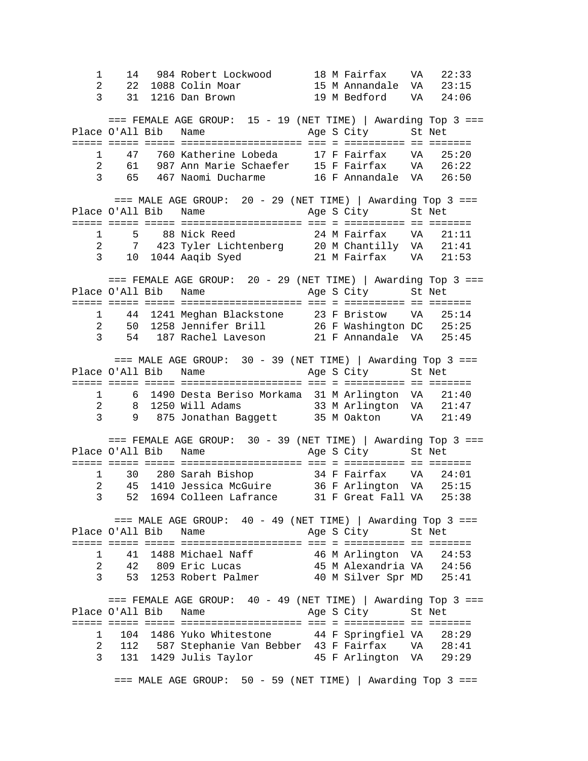1 14 984 Robert Lockwood 18 M Fairfax VA 22:33 2 22 1088 Colin Moar 15 M Annandale VA 23:15 3 31 1216 Dan Brown 19 M Bedford VA 24:06  $==$  FEMALE AGE GROUP:  $15 - 19$  (NET TIME) | Awarding Top 3 === Place O'All Bib Name Age S City St Net ===== ===== ===== ==================== === = ========== == ======= 1 47 760 Katherine Lobeda 17 F Fairfax VA 25:20 2 61 987 Ann Marie Schaefer 15 F Fairfax VA 26:22 3 65 467 Naomi Ducharme 16 F Annandale VA 26:50  $==$  MALE AGE GROUP: 20 - 29 (NET TIME) | Awarding Top 3 === Place O'All Bib Name Age S City St Net ===== ===== ===== ==================== === = ========== == ======= 1 5 88 Nick Reed 24 M Fairfax VA 21:11 2 7 423 Tyler Lichtenberg 20 M Chantilly VA 21:41 3 10 1044 Aaqib Syed 21 M Fairfax VA 21:53  $==$  FEMALE AGE GROUP: 20 - 29 (NET TIME) | Awarding Top 3 === Place O'All Bib Name Age S City St Net ===== ===== ===== ==================== === = ========== == ======= 1 44 1241 Meghan Blackstone 23 F Bristow VA 25:14 2 50 1258 Jennifer Brill 26 F Washington DC 25:25 3 54 187 Rachel Laveson 21 F Annandale VA 25:45  $==$  MALE AGE GROUP:  $30 - 39$  (NET TIME) | Awarding Top 3 === Place O'All Bib Name Age S City St Net ===== ===== ===== ==================== === = ========== == ======= 1 6 1490 Desta Beriso Morkama 31 M Arlington VA 21:40 2 8 1250 Will Adams 33 M Arlington VA 21:47 3 9 875 Jonathan Baggett 35 M Oakton VA 21:49  $==$  FEMALE AGE GROUP:  $30 - 39$  (NET TIME) | Awarding Top 3 = = = Place O'All Bib Name Age S City St Net ===== ===== ===== ==================== === = ========== == ======= 1 30 280 Sarah Bishop 34 F Fairfax VA 24:01 2 45 1410 Jessica McGuire 36 F Arlington VA 25:15 3 52 1694 Colleen Lafrance 31 F Great Fall VA 25:38 === MALE AGE GROUP: 40 - 49 (NET TIME) | Awarding Top 3 === Place O'All Bib Name Age S City St Net ===== ===== ===== ==================== === = ========== == ======= 1 41 1488 Michael Naff 46 M Arlington VA 24:53 2 42 809 Eric Lucas 45 M Alexandria VA 24:56 3 53 1253 Robert Palmer 40 M Silver Spr MD 25:41  $==$  FEMALE AGE GROUP:  $40 - 49$  (NET TIME) | Awarding Top 3 === Place O'All Bib Name Age S City St Net ===== ===== ===== ==================== === = ========== == ======= 1 104 1486 Yuko Whitestone 44 F Springfiel VA 28:29 2 112 587 Stephanie Van Bebber 43 F Fairfax VA 28:41 3 131 1429 Julis Taylor 45 F Arlington VA 29:29  $==$  MALE AGE GROUP: 50 - 59 (NET TIME) | Awarding Top 3 ===